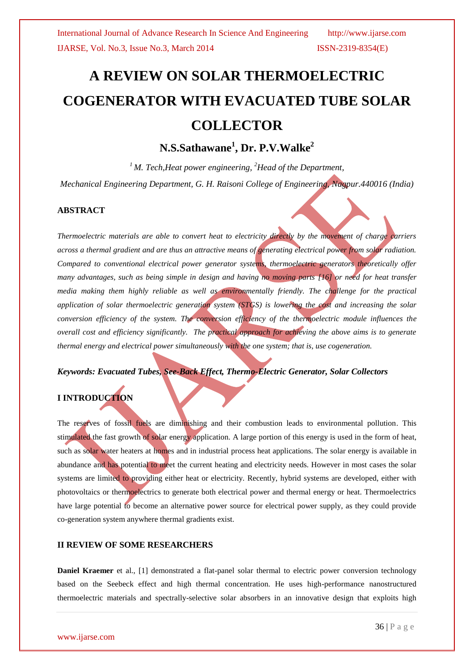# **A REVIEW ON SOLAR THERMOELECTRIC COGENERATOR WITH EVACUATED TUBE SOLAR COLLECTOR**

## **N.S.Sathawane<sup>1</sup> , Dr. P.V.Walke<sup>2</sup>**

*<sup>1</sup>M. Tech,Heat power engineering, <sup>2</sup>Head of the Department,*

*Mechanical Engineering Department, G. H. Raisoni College of Engineering, Nagpur.440016 (India)*

#### **ABSTRACT**

*Thermoelectric materials are able to convert heat to electricity directly by the movement of charge carriers across a thermal gradient and are thus an attractive means of generating electrical power from solar radiation. Compared to conventional electrical power generator systems, thermoelectric generators theoretically offer many advantages, such as being simple in design and having no moving parts [16] or need for heat transfer media making them highly reliable as well as environmentally friendly. The challenge for the practical application of solar thermoelectric generation system (STGS) is lowering the cost and increasing the solar conversion efficiency of the system. The conversion efficiency of the thermoelectric module influences the overall cost and efficiency significantly. The practical approach for achieving the above aims is to generate thermal energy and electrical power simultaneously with the one system; that is, use cogeneration.*

*Keywords: Evacuated Tubes, See-Back Effect, Thermo-Electric Generator, Solar Collectors*

## **I INTRODUCTION**

The reserves of fossil fuels are diminishing and their combustion leads to environmental pollution. This stimulated the fast growth of solar energy application. A large portion of this energy is used in the form of heat, such as solar water heaters at homes and in industrial process heat applications. The solar energy is available in abundance and has potential to meet the current heating and electricity needs. However in most cases the solar systems are limited to providing either heat or electricity. Recently, hybrid systems are developed, either with photovoltaics or thermoelectrics to generate both electrical power and thermal energy or heat. Thermoelectrics have large potential to become an alternative power source for electrical power supply, as they could provide co-generation system anywhere thermal gradients exist.

### **II REVIEW OF SOME RESEARCHERS**

**Daniel Kraemer** et al., [1] demonstrated a flat-panel solar thermal to electric power conversion technology based on the Seebeck effect and high thermal concentration. He uses high-performance nanostructured thermoelectric materials and spectrally-selective solar absorbers in an innovative design that exploits high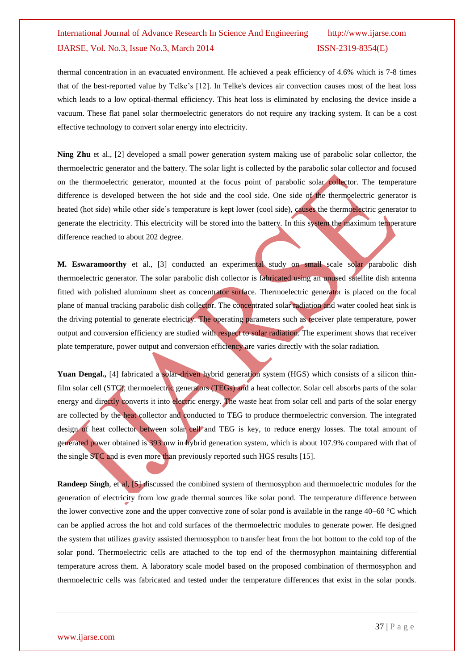thermal concentration in an evacuated environment. He achieved a peak efficiency of 4.6% which is 7-8 times that of the best-reported value by Telke's [12]. In Telke's devices air convection causes most of the heat loss which leads to a low optical-thermal efficiency. This heat loss is eliminated by enclosing the device inside a vacuum. These flat panel solar thermoelectric generators do not require any tracking system. It can be a cost effective technology to convert solar energy into electricity.

**Ning Zhu** et al., [2] developed a small power generation system making use of parabolic solar collector, the thermoelectric generator and the battery. The solar light is collected by the parabolic solar collector and focused on the thermoelectric generator, mounted at the focus point of parabolic solar collector. The temperature difference is developed between the hot side and the cool side. One side of the thermoelectric generator is heated (hot side) while other side's temperature is kept lower (cool side), causes the thermoelectric generator to generate the electricity. This electricity will be stored into the battery. In this system the maximum temperature difference reached to about 202 degree.

**M. Eswaramoorthy** et al., [3] conducted an experimental study on small scale solar parabolic dish thermoelectric generator. The solar parabolic dish collector is fabricated using an unused satellite dish antenna fitted with polished aluminum sheet as concentrator surface. Thermoelectric generator is placed on the focal plane of manual tracking parabolic dish collector. The concentrated solar radiation and water cooled heat sink is the driving potential to generate electricity. The operating parameters such as receiver plate temperature, power output and conversion efficiency are studied with respect to solar radiation. The experiment shows that receiver plate temperature, power output and conversion efficiency are varies directly with the solar radiation.

Yuan Dengal., [4] fabricated a solar-driven hybrid generation system (HGS) which consists of a silicon thinfilm solar cell (STC), thermoelectric generators (TEGs) and a heat collector. Solar cell absorbs parts of the solar energy and directly converts it into electric energy. The waste heat from solar cell and parts of the solar energy are collected by the heat collector and conducted to TEG to produce thermoelectric conversion. The integrated design of heat collector between solar cell and TEG is key, to reduce energy losses. The total amount of generated power obtained is 393 mw in hybrid generation system, which is about 107.9% compared with that of the single STC and is even more than previously reported such HGS results [15].

**Randeep Singh, et al, [5] discussed the combined system of thermosyphon and thermoelectric modules for the** generation of electricity from low grade thermal sources like solar pond. The temperature difference between the lower convective zone and the upper convective zone of solar pond is available in the range 40–60 °C which can be applied across the hot and cold surfaces of the thermoelectric modules to generate power. He designed the system that utilizes gravity assisted thermosyphon to transfer heat from the hot bottom to the cold top of the solar pond. Thermoelectric cells are attached to the top end of the thermosyphon maintaining differential temperature across them. A laboratory scale model based on the proposed combination of thermosyphon and thermoelectric cells was fabricated and tested under the temperature differences that exist in the solar ponds.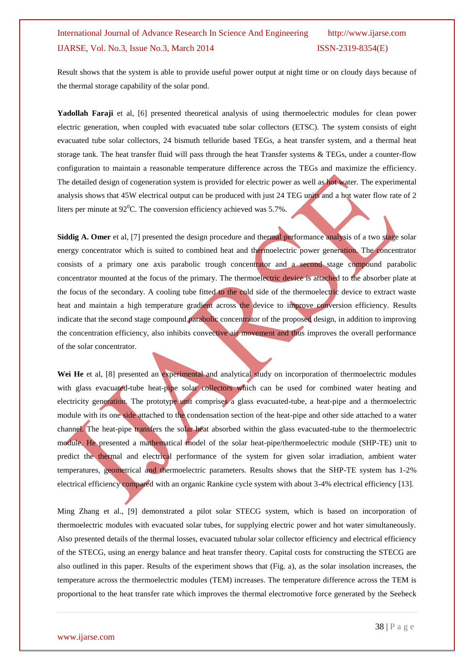Result shows that the system is able to provide useful power output at night time or on cloudy days because of the thermal storage capability of the solar pond.

**Yadollah Faraji** et al, [6] presented theoretical analysis of using thermoelectric modules for clean power electric generation, when coupled with evacuated tube solar collectors (ETSC). The system consists of eight evacuated tube solar collectors, 24 bismuth telluride based TEGs, a heat transfer system, and a thermal heat storage tank. The heat transfer fluid will pass through the heat Transfer systems & TEGs, under a counter-flow configuration to maintain a reasonable temperature difference across the TEGs and maximize the efficiency. The detailed design of cogeneration system is provided for electric power as well as hot water. The experimental analysis shows that 45W electrical output can be produced with just 24 TEG units and a hot water flow rate of 2 liters per minute at  $92^0$ C. The conversion efficiency achieved was 5.7%.

**Siddig A. Omer** et al, [7] presented the design procedure and thermal performance analysis of a two stage solar energy concentrator which is suited to combined heat and thermoelectric power generation. The concentrator consists of a primary one axis parabolic trough concentrator and a second stage compound parabolic concentrator mounted at the focus of the primary. The thermoelectric device is attached to the absorber plate at the focus of the secondary. A cooling tube fitted to the cold side of the thermoelectric device to extract waste heat and maintain a high temperature gradient across the device to improve conversion efficiency. Results indicate that the second stage compound parabolic concentrator of the proposed design, in addition to improving the concentration efficiency, also inhibits convective air movement and thus improves the overall performance of the solar concentrator.

Wei He et al, [8] presented an experimental and analytical study on incorporation of thermoelectric modules with glass evacuated-tube heat-pipe solar collectors which can be used for combined water heating and electricity generation. The prototype unit comprises a glass evacuated-tube, a heat-pipe and a thermoelectric module with its one side attached to the condensation section of the heat-pipe and other side attached to a water channel. The heat-pipe transfers the solar heat absorbed within the glass evacuated-tube to the thermoelectric module. He presented a mathematical model of the solar heat-pipe/thermoelectric module (SHP-TE) unit to predict the thermal and electrical performance of the system for given solar irradiation, ambient water temperatures, geometrical and thermoelectric parameters. Results shows that the SHP-TE system has 1-2% electrical efficiency compared with an organic Rankine cycle system with about 3-4% electrical efficiency [13].

Ming Zhang et al., [9] demonstrated a pilot solar STECG system, which is based on incorporation of thermoelectric modules with evacuated solar tubes, for supplying electric power and hot water simultaneously. Also presented details of the thermal losses, evacuated tubular solar collector efficiency and electrical efficiency of the STECG, using an energy balance and heat transfer theory. Capital costs for constructing the STECG are also outlined in this paper. Results of the experiment shows that (Fig. a), as the solar insolation increases, the temperature across the thermoelectric modules (TEM) increases. The temperature difference across the TEM is proportional to the heat transfer rate which improves the thermal electromotive force generated by the Seebeck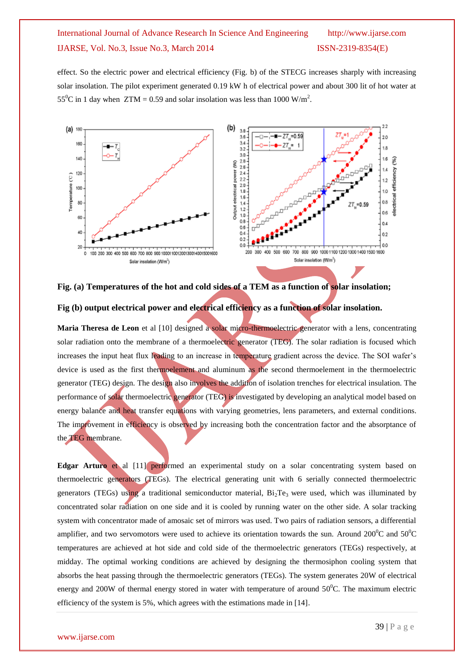effect. So the electric power and electrical efficiency (Fig. b) of the STECG increases sharply with increasing solar insolation. The pilot experiment generated 0.19 kW h of electrical power and about 300 lit of hot water at 55<sup>o</sup>C in 1 day when ZTM = 0.59 and solar insolation was less than 1000 W/m<sup>2</sup>.



**Fig. (a) Temperatures of the hot and cold sides of a TEM as a function of solar insolation;**

#### **Fig (b) output electrical power and electrical efficiency as a function of solar insolation.**

**Maria Theresa de Leon** et al [10] designed a solar micro-thermoelectric generator with a lens, concentrating solar radiation onto the membrane of a thermoelectric generator (TEG). The solar radiation is focused which increases the input heat flux leading to an increase in temperature gradient across the device. The SOI wafer's device is used as the first thermoelement and aluminum as the second thermoelement in the thermoelectric generator (TEG) design. The design also involves the addition of isolation trenches for electrical insulation. The performance of solar thermoelectric generator (TEG) is investigated by developing an analytical model based on energy balance and heat transfer equations with varying geometries, lens parameters, and external conditions. The improvement in efficiency is observed by increasing both the concentration factor and the absorptance of the TEG membrane.

**Edgar Arturo** et al [11] performed an experimental study on a solar concentrating system based on thermoelectric generators (TEGs). The electrical generating unit with 6 serially connected thermoelectric generators (TEGs) using a traditional semiconductor material,  $Bi_2Te_3$  were used, which was illuminated by concentrated solar radiation on one side and it is cooled by running water on the other side. A solar tracking system with concentrator made of amosaic set of mirrors was used. Two pairs of radiation sensors, a differential amplifier, and two servomotors were used to achieve its orientation towards the sun. Around  $200^0C$  and  $50^0C$ temperatures are achieved at hot side and cold side of the thermoelectric generators (TEGs) respectively, at midday. The optimal working conditions are achieved by designing the thermosiphon cooling system that absorbs the heat passing through the thermoelectric generators (TEGs). The system generates 20W of electrical energy and 200W of thermal energy stored in water with temperature of around  $50^{\circ}$ C. The maximum electric efficiency of the system is 5%, which agrees with the estimations made in [14].

#### www.ijarse.com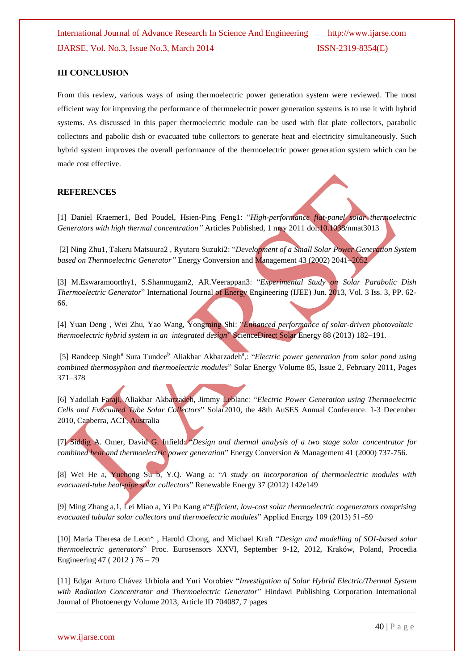#### **III CONCLUSION**

From this review, various ways of using thermoelectric power generation system were reviewed. The most efficient way for improving the performance of thermoelectric power generation systems is to use it with hybrid systems. As discussed in this paper thermoelectric module can be used with flat plate collectors, parabolic collectors and pabolic dish or evacuated tube collectors to generate heat and electricity simultaneously. Such hybrid system improves the overall performance of the thermoelectric power generation system which can be made cost effective.

#### **REFERENCES**

[1] Daniel Kraemer1, Bed Poudel, Hsien-Ping Feng1: "*High-performance flat-panel solar thermoelectric Generators with high thermal concentration"* Articles Published, 1 may 2011 doi:10.1038/nmat3013

[2] Ning Zhu1, Takeru Matsuura2 , Ryutaro Suzuki2: "*Development of a Small Solar Power Generation System based on Thermoelectric Generator"* Energy Conversion and Management 43 (2002) 2041–2052

[3] M.Eswaramoorthy1, S.Shanmugam2, AR.Veerappan3: "*Experimental Study on Solar Parabolic Dish Thermoelectric Generator*" International Journal of Energy Engineering (IJEE) Jun. 2013, Vol. 3 Iss. 3, PP. 62- 66.

[4] Yuan Deng , Wei Zhu, Yao Wang, Yongming Shi: "*Enhanced performance of solar-driven photovoltaic– thermoelectric hybrid system in an integrated design*" ScienceDirect Solar Energy 88 (2013) 182–191.

[5] [Randeep Singh](http://www.sciencedirect.com/science/article/pii/S0038092X1000352X)<sup>a</sup> [Sura Tundee](http://www.sciencedirect.com/science/article/pii/S0038092X1000352X)<sup>b</sup> [Aliakbar Akbarzadeh](http://www.sciencedirect.com/science/article/pii/S0038092X1000352X)<sup>a</sup>,: "*Electric power generation from solar pond using combined thermosyphon and thermoelectric modules*" [Solar Energy](http://www.sciencedirect.com/science/journal/0038092X) [Volume 85, Issue 2,](http://www.sciencedirect.com/science/journal/0038092X/85/2) February 2011, Pages 371–378

[6] Yadollah Faraji, Aliakbar Akbarzadeh, Jimmy Leblanc: "*Electric Power Generation using Thermoelectric Cells and Evacuated Tube Solar Collectors*" Solar2010, the 48th AuSES Annual Conference. 1-3 December 2010, Canberra, ACT, Australia

[7] Siddig A. Omer, David G. Infield: "*Design and thermal analysis of a two stage solar concentrator for combined heat and thermoelectric power generation*" Energy Conversion & Management 41 (2000) 737-756.

[8] Wei He a, Yuehong Su b, Y.Q. Wang a: "*A study on incorporation of thermoelectric modules with evacuated-tube heat-pipe solar collectors*" Renewable Energy 37 (2012) 142e149

[9] Ming Zhang a,1, Lei Miao a, Yi Pu Kang a"*Efficient, low-cost solar thermoelectric cogenerators comprising evacuated tubular solar collectors and thermoelectric modules*" Applied Energy 109 (2013) 51–59

[10] Maria Theresa de Leon\* , Harold Chong, and Michael Kraft "*Design and modelling of SOI-based solar thermoelectric generators*" Proc. Eurosensors XXVI, September 9-12, 2012, Kraków, Poland, Procedia Engineering 47 ( 2012 ) 76 – 79

[11] Edgar Arturo Chávez Urbiola and Yuri Vorobiev "*Investigation of Solar Hybrid Electric/Thermal System with Radiation Concentrator and Thermoelectric Generator*" Hindawi Publishing Corporation International Journal of Photoenergy Volume 2013, Article ID 704087, 7 pages